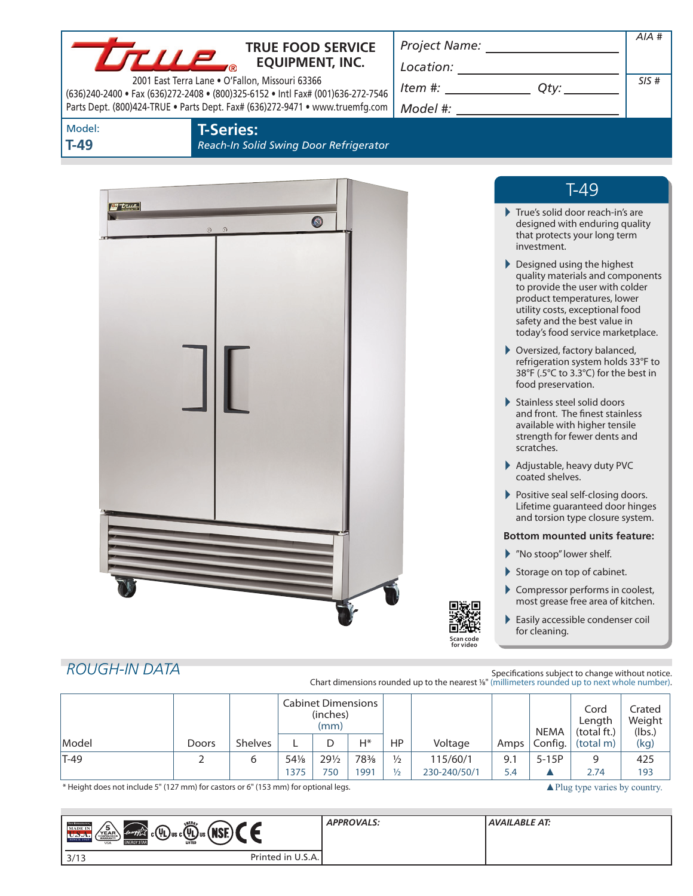|                      | <b>TRUE FOOD SERVICE</b><br><i><b>LTILE</b></i><br><b>EQUIPMENT, INC.</b><br>2001 East Terra Lane . O'Fallon, Missouri 63366<br>(636)240-2400 • Fax (636)272-2408 • (800)325-6152 • Intl Fax# (001)636-272-7546<br>Parts Dept. (800)424-TRUE . Parts Dept. Fax# (636)272-9471 . www.truemfg.com |           | $\begin{picture}(150,10) \put(0,0){\vector(1,0){100}} \put(15,0){\vector(1,0){100}} \put(15,0){\vector(1,0){100}} \put(15,0){\vector(1,0){100}} \put(15,0){\vector(1,0){100}} \put(15,0){\vector(1,0){100}} \put(15,0){\vector(1,0){100}} \put(15,0){\vector(1,0){100}} \put(15,0){\vector(1,0){100}} \put(15,0){\vector(1,0){100}} \put(15,0){\vector(1,0){100}}$<br>$Item #: __________ Qty: __________$ | $AIA$ #<br>SIS# |
|----------------------|-------------------------------------------------------------------------------------------------------------------------------------------------------------------------------------------------------------------------------------------------------------------------------------------------|-----------|------------------------------------------------------------------------------------------------------------------------------------------------------------------------------------------------------------------------------------------------------------------------------------------------------------------------------------------------------------------------------------------------------------|-----------------|
| Model:<br>$T-49$     | <b>T-Series:</b><br>Reach-In Solid Swing Door Refrigerator                                                                                                                                                                                                                                      |           |                                                                                                                                                                                                                                                                                                                                                                                                            |                 |
|                      |                                                                                                                                                                                                                                                                                                 |           | $T-49$                                                                                                                                                                                                                                                                                                                                                                                                     |                 |
| $\tau$               | $\bullet$<br>$\odot$<br>$\Omega$                                                                                                                                                                                                                                                                |           | True's solid door reach-in's are<br>designed with enduring quality<br>that protects your long term<br>investment.                                                                                                                                                                                                                                                                                          |                 |
|                      |                                                                                                                                                                                                                                                                                                 |           | ▶ Designed using the highest<br>quality materials and components<br>to provide the user with colder<br>product temperatures, lower<br>utility costs, exceptional food<br>safety and the best value in<br>today's food service marketplace.                                                                                                                                                                 |                 |
|                      |                                                                                                                                                                                                                                                                                                 |           | ▶ Oversized, factory balanced,<br>refrigeration system holds 33°F to<br>38°F (.5°C to 3.3°C) for the best in<br>food preservation.                                                                                                                                                                                                                                                                         |                 |
|                      |                                                                                                                                                                                                                                                                                                 |           | Stainless steel solid doors<br>and front. The finest stainless<br>available with higher tensile<br>strength for fewer dents and<br>scratches.                                                                                                                                                                                                                                                              |                 |
|                      |                                                                                                                                                                                                                                                                                                 |           | Adjustable, heavy duty PVC<br>coated shelves.                                                                                                                                                                                                                                                                                                                                                              |                 |
|                      |                                                                                                                                                                                                                                                                                                 |           | Positive seal self-closing doors.<br>Lifetime guaranteed door hinges<br>and torsion type closure system.                                                                                                                                                                                                                                                                                                   |                 |
|                      |                                                                                                                                                                                                                                                                                                 |           | <b>Bottom mounted units feature:</b>                                                                                                                                                                                                                                                                                                                                                                       |                 |
|                      |                                                                                                                                                                                                                                                                                                 |           | Mo stoop" lower shelf.                                                                                                                                                                                                                                                                                                                                                                                     |                 |
|                      |                                                                                                                                                                                                                                                                                                 |           | Storage on top of cabinet.<br>Compressor performs in coolest,                                                                                                                                                                                                                                                                                                                                              |                 |
|                      |                                                                                                                                                                                                                                                                                                 |           | most grease free area of kitchen.                                                                                                                                                                                                                                                                                                                                                                          |                 |
|                      |                                                                                                                                                                                                                                                                                                 | for video | Easily accessible condenser coil<br>for cleaning.                                                                                                                                                                                                                                                                                                                                                          |                 |
| <b>ROUGH-IN DATA</b> |                                                                                                                                                                                                                                                                                                 |           | Specifications subject to change without notice.                                                                                                                                                                                                                                                                                                                                                           |                 |

|        |       |                |       | <b>Cabinet Dimensions</b><br>(inches)<br>(mm) |       |               |              |      | NEMA    | Cord<br>Length<br>(total ft.) | Crated<br>Weight<br>(lbs.) |
|--------|-------|----------------|-------|-----------------------------------------------|-------|---------------|--------------|------|---------|-------------------------------|----------------------------|
| Model  | Doors | <b>Shelves</b> |       |                                               | $H^*$ | HP            | Voltage      | Amps | Config. | (total m)                     | (kg)                       |
| $T-49$ |       | ь              | 541/8 | $29\frac{1}{2}$                               | 78%   | $\frac{1}{2}$ | 115/60/1     | 9.1  | $5-15P$ | 9                             | 425                        |
|        |       |                | 1375  | 750                                           | 1991  | $\frac{1}{2}$ | 230-240/50/1 | 5.4  |         | 2.74                          | 193                        |

\* Height does not include 5" (127 mm) for castors or 6" (153 mm) for optional legs. ▲Plug type varies by country.

| <b>ENERG</b><br><b>TRIK REFERENCES</b><br><b>MADE IN</b><br>(NSE)<br>$  \;$ c $(\Psi_{\text{L}})$ us c $(\Psi_{\text{L}})$ us ( $\parallel$<br>energy<br>VEAR <sub>Commesso</sub><br>SINCE 1945<br><b>LISTED</b><br><b>ENERGY STAR</b><br><b>USA</b> | <b>APPROVALS:</b> | <b>AVAILABLE AT:</b> |  |
|------------------------------------------------------------------------------------------------------------------------------------------------------------------------------------------------------------------------------------------------------|-------------------|----------------------|--|
| 3/13                                                                                                                                                                                                                                                 | Printed in U.S.A. |                      |  |